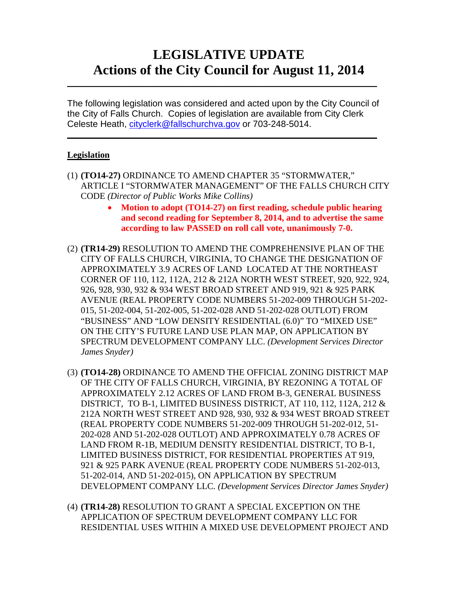# **LEGISLATIVE UPDATE Actions of the City Council for August 11, 2014**

The following legislation was considered and acted upon by the City Council of the City of Falls Church. Copies of legislation are available from City Clerk Celeste Heath, [cityclerk@fallschurchva.gov](mailto:cityclerk@fallschurchva.gov) or 703-248-5014.

 $\overline{\phantom{a}}$  , and the contract of the contract of the contract of the contract of the contract of the contract of the contract of the contract of the contract of the contract of the contract of the contract of the contrac

 $\frac{1}{2}$  ,  $\frac{1}{2}$  ,  $\frac{1}{2}$  ,  $\frac{1}{2}$  ,  $\frac{1}{2}$  ,  $\frac{1}{2}$  ,  $\frac{1}{2}$  ,  $\frac{1}{2}$  ,  $\frac{1}{2}$  ,  $\frac{1}{2}$  ,  $\frac{1}{2}$  ,  $\frac{1}{2}$  ,  $\frac{1}{2}$  ,  $\frac{1}{2}$  ,  $\frac{1}{2}$  ,  $\frac{1}{2}$  ,  $\frac{1}{2}$  ,  $\frac{1}{2}$  ,  $\frac{1$ 

### **Legislation**

- (1) **(TO14-27)** ORDINANCE TO AMEND CHAPTER 35 "STORMWATER," ARTICLE I "STORMWATER MANAGEMENT" OF THE FALLS CHURCH CITY CODE *(Director of Public Works Mike Collins)*
	- **Motion to adopt (TO14-27) on first reading, schedule public hearing and second reading for September 8, 2014, and to advertise the same according to law PASSED on roll call vote, unanimously 7-0.**
- (2) **(TR14-29)** RESOLUTION TO AMEND THE COMPREHENSIVE PLAN OF THE CITY OF FALLS CHURCH, VIRGINIA, TO CHANGE THE DESIGNATION OF APPROXIMATELY 3.9 ACRES OF LAND LOCATED AT THE NORTHEAST CORNER OF 110, 112, 112A, 212 & 212A NORTH WEST STREET, 920, 922, 924, 926, 928, 930, 932 & 934 WEST BROAD STREET AND 919, 921 & 925 PARK AVENUE (REAL PROPERTY CODE NUMBERS 51-202-009 THROUGH 51-202- 015, 51-202-004, 51-202-005, 51-202-028 AND 51-202-028 OUTLOT) FROM "BUSINESS" AND "LOW DENSITY RESIDENTIAL (6.0)" TO "MIXED USE" ON THE CITY'S FUTURE LAND USE PLAN MAP, ON APPLICATION BY SPECTRUM DEVELOPMENT COMPANY LLC. *(Development Services Director James Snyder)*
- (3) **(TO14-28)** ORDINANCE TO AMEND THE OFFICIAL ZONING DISTRICT MAP OF THE CITY OF FALLS CHURCH, VIRGINIA, BY REZONING A TOTAL OF APPROXIMATELY 2.12 ACRES OF LAND FROM B-3, GENERAL BUSINESS DISTRICT, TO B-1, LIMITED BUSINESS DISTRICT, AT 110, 112, 112A, 212 & 212A NORTH WEST STREET AND 928, 930, 932 & 934 WEST BROAD STREET (REAL PROPERTY CODE NUMBERS 51-202-009 THROUGH 51-202-012, 51- 202-028 AND 51-202-028 OUTLOT) AND APPROXIMATELY 0.78 ACRES OF LAND FROM R-1B, MEDIUM DENSITY RESIDENTIAL DISTRICT, TO B-1, LIMITED BUSINESS DISTRICT, FOR RESIDENTIAL PROPERTIES AT 919, 921 & 925 PARK AVENUE (REAL PROPERTY CODE NUMBERS 51-202-013, 51-202-014, AND 51-202-015), ON APPLICATION BY SPECTRUM DEVELOPMENT COMPANY LLC. *(Development Services Director James Snyder)*
- (4) **(TR14-28)** RESOLUTION TO GRANT A SPECIAL EXCEPTION ON THE APPLICATION OF SPECTRUM DEVELOPMENT COMPANY LLC FOR RESIDENTIAL USES WITHIN A MIXED USE DEVELOPMENT PROJECT AND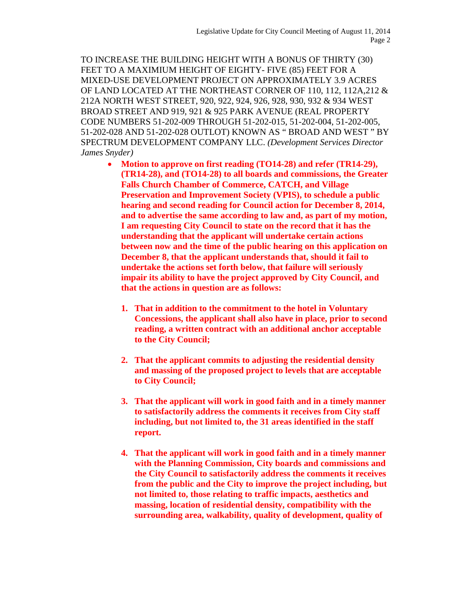TO INCREASE THE BUILDING HEIGHT WITH A BONUS OF THIRTY (30) FEET TO A MAXIMIUM HEIGHT OF EIGHTY- FIVE (85) FEET FOR A MIXED-USE DEVELOPMENT PROJECT ON APPROXIMATELY 3.9 ACRES OF LAND LOCATED AT THE NORTHEAST CORNER OF 110, 112, 112A,212 & 212A NORTH WEST STREET, 920, 922, 924, 926, 928, 930, 932 & 934 WEST BROAD STREET AND 919, 921 & 925 PARK AVENUE (REAL PROPERTY CODE NUMBERS 51-202-009 THROUGH 51-202-015, 51-202-004, 51-202-005, 51-202-028 AND 51-202-028 OUTLOT) KNOWN AS " BROAD AND WEST " BY SPECTRUM DEVELOPMENT COMPANY LLC. *(Development Services Director James Snyder)*

- **Motion to approve on first reading (TO14-28) and refer (TR14-29), (TR14-28), and (TO14-28) to all boards and commissions, the Greater Falls Church Chamber of Commerce, CATCH, and Village Preservation and Improvement Society (VPIS), to schedule a public hearing and second reading for Council action for December 8, 2014, and to advertise the same according to law and, as part of my motion, I am requesting City Council to state on the record that it has the understanding that the applicant will undertake certain actions between now and the time of the public hearing on this application on December 8, that the applicant understands that, should it fail to undertake the actions set forth below, that failure will seriously impair its ability to have the project approved by City Council, and that the actions in question are as follows:**
	- **1. That in addition to the commitment to the hotel in Voluntary Concessions, the applicant shall also have in place, prior to second reading, a written contract with an additional anchor acceptable to the City Council;**
	- **2. That the applicant commits to adjusting the residential density and massing of the proposed project to levels that are acceptable to City Council;**
	- **3. That the applicant will work in good faith and in a timely manner to satisfactorily address the comments it receives from City staff including, but not limited to, the 31 areas identified in the staff report.**
	- **4. That the applicant will work in good faith and in a timely manner with the Planning Commission, City boards and commissions and the City Council to satisfactorily address the comments it receives from the public and the City to improve the project including, but not limited to, those relating to traffic impacts, aesthetics and massing, location of residential density, compatibility with the surrounding area, walkability, quality of development, quality of**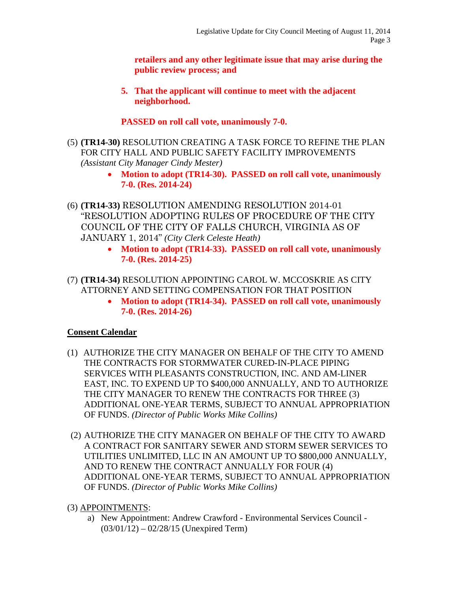**retailers and any other legitimate issue that may arise during the public review process; and**

**5. That the applicant will continue to meet with the adjacent neighborhood.**

**PASSED on roll call vote, unanimously 7-0.**

- (5) **(TR14-30)** RESOLUTION CREATING A TASK FORCE TO REFINE THE PLAN FOR CITY HALL AND PUBLIC SAFETY FACILITY IMPROVEMENTS *(Assistant City Manager Cindy Mester)*
	- **Motion to adopt (TR14-30). PASSED on roll call vote, unanimously 7-0. (Res. 2014-24)**
- (6) **(TR14-33)** RESOLUTION AMENDING RESOLUTION 2014-01 "RESOLUTION ADOPTING RULES OF PROCEDURE OF THE CITY COUNCIL OF THE CITY OF FALLS CHURCH, VIRGINIA AS OF JANUARY 1, 2014" *(City Clerk Celeste Heath)*
	- **Motion to adopt (TR14-33). PASSED on roll call vote, unanimously 7-0. (Res. 2014-25)**
- (7) **(TR14-34)** RESOLUTION APPOINTING CAROL W. MCCOSKRIE AS CITY ATTORNEY AND SETTING COMPENSATION FOR THAT POSITION
	- **Motion to adopt (TR14-34). PASSED on roll call vote, unanimously 7-0. (Res. 2014-26)**

## **Consent Calendar**

- (1) AUTHORIZE THE CITY MANAGER ON BEHALF OF THE CITY TO AMEND THE CONTRACTS FOR STORMWATER CURED-IN-PLACE PIPING SERVICES WITH PLEASANTS CONSTRUCTION, INC. AND AM-LINER EAST, INC. TO EXPEND UP TO \$400,000 ANNUALLY, AND TO AUTHORIZE THE CITY MANAGER TO RENEW THE CONTRACTS FOR THREE (3) ADDITIONAL ONE-YEAR TERMS, SUBJECT TO ANNUAL APPROPRIATION OF FUNDS. *(Director of Public Works Mike Collins)*
- (2) AUTHORIZE THE CITY MANAGER ON BEHALF OF THE CITY TO AWARD A CONTRACT FOR SANITARY SEWER AND STORM SEWER SERVICES TO UTILITIES UNLIMITED, LLC IN AN AMOUNT UP TO \$800,000 ANNUALLY, AND TO RENEW THE CONTRACT ANNUALLY FOR FOUR (4) ADDITIONAL ONE-YEAR TERMS, SUBJECT TO ANNUAL APPROPRIATION OF FUNDS. *(Director of Public Works Mike Collins)*
- (3) APPOINTMENTS:
	- a) New Appointment: Andrew Crawford Environmental Services Council (03/01/12) – 02/28/15 (Unexpired Term)